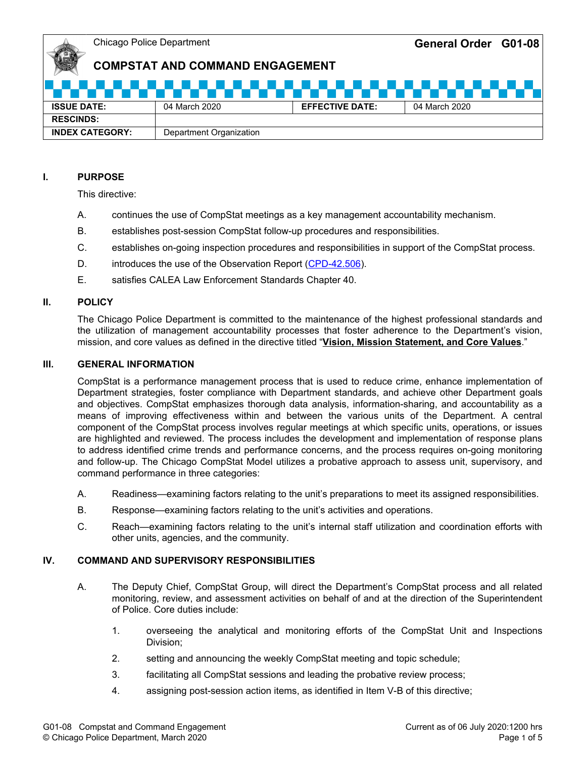## **COMPSTAT AND COMMAND ENGAGEMENT**

| <b>ISSUE DATE:</b>     | 04 March 2020           | <b>EFFECTIVE DATE:</b> | 04 March 2020 |
|------------------------|-------------------------|------------------------|---------------|
| <b>RESCINDS:</b>       |                         |                        |               |
| <b>INDEX CATEGORY:</b> | Department Organization |                        |               |

### **I. PURPOSE**

This directive:

- A. continues the use of CompStat meetings as a key management accountability mechanism.
- B. establishes post-session CompStat follow-up procedures and responsibilities.
- C. establishes on-going inspection procedures and responsibilities in support of the CompStat process.
- D. introduces the use of the Observation Report [\(CPD-42.506](http://directives.chicagopolice.org/forms/CPD-42.506.pdf)).
- E. satisfies CALEA Law Enforcement Standards Chapter 40.

#### **II. POLICY**

The Chicago Police Department is committed to the maintenance of the highest professional standards and the utilization of management accountability processes that foster adherence to the Department's vision, mission, and core values as defined in the directive titled "**[Vision, Mission Statement, and Core Values](http://lcms01.chicagopolice.local:80/europa/crs?action=DELIVER_CONTENT&vm=browse&el=0&els=8082&guid=a7a57bf0-12e6d379-71512-e6d5-9e3d1c3316a9aa46&v=&gpt=print&sok=print&c=)**."

#### **III. GENERAL INFORMATION**

CompStat is a performance management process that is used to reduce crime, enhance implementation of Department strategies, foster compliance with Department standards, and achieve other Department goals and objectives. CompStat emphasizes thorough data analysis, information-sharing, and accountability as a means of improving effectiveness within and between the various units of the Department. A central component of the CompStat process involves regular meetings at which specific units, operations, or issues are highlighted and reviewed. The process includes the development and implementation of response plans to address identified crime trends and performance concerns, and the process requires on-going monitoring and follow-up. The Chicago CompStat Model utilizes a probative approach to assess unit, supervisory, and command performance in three categories:

- A. Readiness—examining factors relating to the unit's preparations to meet its assigned responsibilities.
- B. Response—examining factors relating to the unit's activities and operations.
- C. Reach—examining factors relating to the unit's internal staff utilization and coordination efforts with other units, agencies, and the community.

### **IV. COMMAND AND SUPERVISORY RESPONSIBILITIES**

- A. The Deputy Chief, CompStat Group, will direct the Department's CompStat process and all related monitoring, review, and assessment activities on behalf of and at the direction of the Superintendent of Police. Core duties include:
	- 1. overseeing the analytical and monitoring efforts of the CompStat Unit and Inspections Division;
	- 2. setting and announcing the weekly CompStat meeting and topic schedule;
	- 3. facilitating all CompStat sessions and leading the probative review process;
	- 4. assigning post-session action items, as identified in Item V-B of this directive;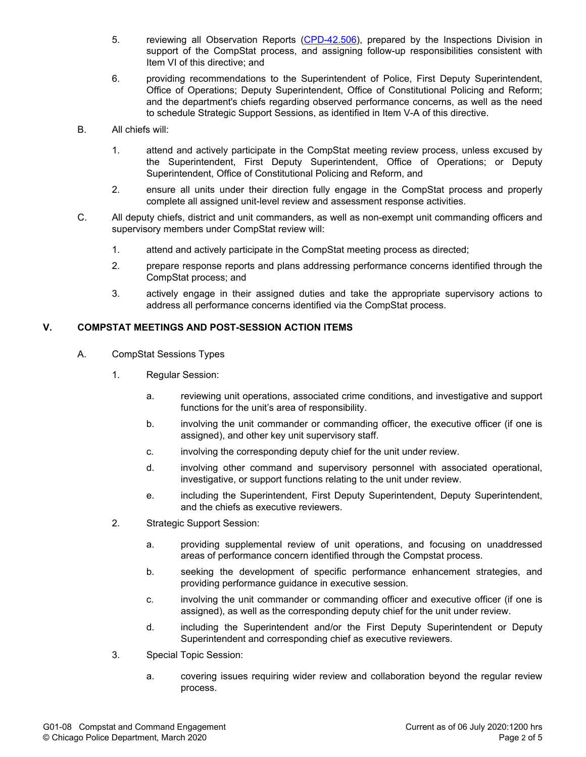- 5. reviewing all Observation Reports ([CPD-42.506\)](http://directives.chicagopolice.org/forms/CPD-42.506.pdf), prepared by the Inspections Division in support of the CompStat process, and assigning follow-up responsibilities consistent with Item VI of this directive; and
- 6. providing recommendations to the Superintendent of Police, First Deputy Superintendent, Office of Operations; Deputy Superintendent, Office of Constitutional Policing and Reform; and the department's chiefs regarding observed performance concerns, as well as the need to schedule Strategic Support Sessions, as identified in Item V-A of this directive.
- B. All chiefs will:
	- 1. attend and actively participate in the CompStat meeting review process, unless excused by the Superintendent, First Deputy Superintendent, Office of Operations; or Deputy Superintendent, Office of Constitutional Policing and Reform, and
	- 2. ensure all units under their direction fully engage in the CompStat process and properly complete all assigned unit-level review and assessment response activities.
- C. All deputy chiefs, district and unit commanders, as well as non-exempt unit commanding officers and supervisory members under CompStat review will:
	- 1. attend and actively participate in the CompStat meeting process as directed;
	- 2. prepare response reports and plans addressing performance concerns identified through the CompStat process; and
	- 3. actively engage in their assigned duties and take the appropriate supervisory actions to address all performance concerns identified via the CompStat process.

# **V. COMPSTAT MEETINGS AND POST-SESSION ACTION ITEMS**

- A. CompStat Sessions Types
	- 1. Regular Session:
		- a. reviewing unit operations, associated crime conditions, and investigative and support functions for the unit's area of responsibility.
		- b. involving the unit commander or commanding officer, the executive officer (if one is assigned), and other key unit supervisory staff.
		- c. involving the corresponding deputy chief for the unit under review.
		- d. involving other command and supervisory personnel with associated operational, investigative, or support functions relating to the unit under review.
		- e. including the Superintendent, First Deputy Superintendent, Deputy Superintendent, and the chiefs as executive reviewers.
	- 2. Strategic Support Session:
		- a. providing supplemental review of unit operations, and focusing on unaddressed areas of performance concern identified through the Compstat process.
		- b. seeking the development of specific performance enhancement strategies, and providing performance guidance in executive session.
		- c. involving the unit commander or commanding officer and executive officer (if one is assigned), as well as the corresponding deputy chief for the unit under review.
		- d. including the Superintendent and/or the First Deputy Superintendent or Deputy Superintendent and corresponding chief as executive reviewers.
	- 3. Special Topic Session:
		- a. covering issues requiring wider review and collaboration beyond the regular review process.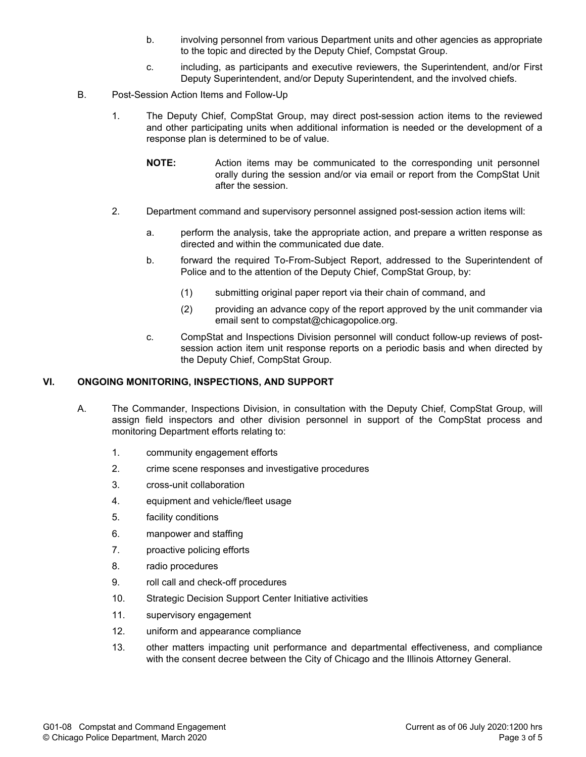- b. involving personnel from various Department units and other agencies as appropriate to the topic and directed by the Deputy Chief, Compstat Group.
- c. including, as participants and executive reviewers, the Superintendent, and/or First Deputy Superintendent, and/or Deputy Superintendent, and the involved chiefs.
- B. Post-Session Action Items and Follow-Up
	- 1. The Deputy Chief, CompStat Group, may direct post-session action items to the reviewed and other participating units when additional information is needed or the development of a response plan is determined to be of value.
		- **NOTE:** Action items may be communicated to the corresponding unit personnel orally during the session and/or via email or report from the CompStat Unit after the session.
	- 2. Department command and supervisory personnel assigned post-session action items will:
		- a. perform the analysis, take the appropriate action, and prepare a written response as directed and within the communicated due date.
		- b. forward the required To-From-Subject Report, addressed to the Superintendent of Police and to the attention of the Deputy Chief, CompStat Group, by:
			- (1) submitting original paper report via their chain of command, and
			- (2) providing an advance copy of the report approved by the unit commander via email sent to compstat@chicagopolice.org.
		- c. CompStat and Inspections Division personnel will conduct follow-up reviews of postsession action item unit response reports on a periodic basis and when directed by the Deputy Chief, CompStat Group.

### **VI. ONGOING MONITORING, INSPECTIONS, AND SUPPORT**

- A. The Commander, Inspections Division, in consultation with the Deputy Chief, CompStat Group, will assign field inspectors and other division personnel in support of the CompStat process and monitoring Department efforts relating to:
	- 1. community engagement efforts
	- 2. crime scene responses and investigative procedures
	- 3. cross-unit collaboration
	- 4. equipment and vehicle/fleet usage
	- 5. facility conditions
	- 6. manpower and staffing
	- 7. proactive policing efforts
	- 8. radio procedures
	- 9. roll call and check-off procedures
	- 10. Strategic Decision Support Center Initiative activities
	- 11. supervisory engagement
	- 12. uniform and appearance compliance
	- 13. other matters impacting unit performance and departmental effectiveness, and compliance with the consent decree between the City of Chicago and the Illinois Attorney General.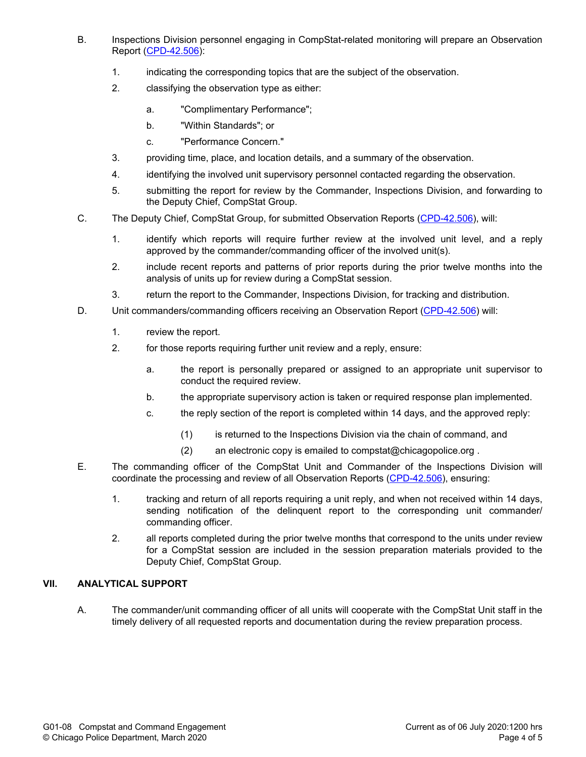- B. Inspections Division personnel engaging in CompStat-related monitoring will prepare an Observation Report [\(CPD-42.506](http://directives.chicagopolice.org/forms/CPD-42.506.pdf)):
	- 1. indicating the corresponding topics that are the subject of the observation.
	- 2. classifying the observation type as either:
		- a. "Complimentary Performance";
		- b. "Within Standards"; or
		- c. "Performance Concern."
	- 3. providing time, place, and location details, and a summary of the observation.
	- 4. identifying the involved unit supervisory personnel contacted regarding the observation.
	- 5. submitting the report for review by the Commander, Inspections Division, and forwarding to the Deputy Chief, CompStat Group.
- C. The Deputy Chief, CompStat Group, for submitted Observation Reports [\(CPD-42.506](http://directives.chicagopolice.org/forms/CPD-42.506.pdf)), will:
	- 1. identify which reports will require further review at the involved unit level, and a reply approved by the commander/commanding officer of the involved unit(s).
	- 2. include recent reports and patterns of prior reports during the prior twelve months into the analysis of units up for review during a CompStat session.
	- 3. return the report to the Commander, Inspections Division, for tracking and distribution.
- D. Unit commanders/commanding officers receiving an Observation Report ([CPD-42.506\)](http://directives.chicagopolice.org/forms/CPD-42.506.pdf) will:
	- 1. review the report.
	- 2. for those reports requiring further unit review and a reply, ensure:
		- a. the report is personally prepared or assigned to an appropriate unit supervisor to conduct the required review.
		- b. the appropriate supervisory action is taken or required response plan implemented.
		- c. the reply section of the report is completed within 14 days, and the approved reply:
			- (1) is returned to the Inspections Division via the chain of command, and
			- (2) an electronic copy is emailed to compstat@chicagopolice.org .
- E. The commanding officer of the CompStat Unit and Commander of the Inspections Division will coordinate the processing and review of all Observation Reports [\(CPD-42.506](http://directives.chicagopolice.org/forms/CPD-42.506.pdf)), ensuring:
	- 1. tracking and return of all reports requiring a unit reply, and when not received within 14 days, sending notification of the delinquent report to the corresponding unit commander/ commanding officer.
	- 2. all reports completed during the prior twelve months that correspond to the units under review for a CompStat session are included in the session preparation materials provided to the Deputy Chief, CompStat Group.

# **VII. ANALYTICAL SUPPORT**

A. The commander/unit commanding officer of all units will cooperate with the CompStat Unit staff in the timely delivery of all requested reports and documentation during the review preparation process.